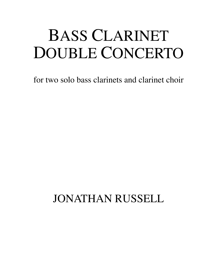## BASS CLARINET DOUBLE CONCERTO

for two solo bass clarinets and clarinet choir

## JONATHAN RUSSELL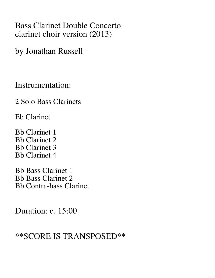Bass Clarinet Double Concerto clarinet choir version (2013)

by Jonathan Russell

Instrumentation:

2 Solo Bass Clarinets

Eb Clarinet

Bb Clarinet 1 Bb Clarinet 2 Bb Clarinet 3 Bb Clarinet 4

Bb Bass Clarinet 1 Bb Bass Clarinet 2 Bb Contra-bass Clarinet

Duration: c. 15:00

\*\*SCORE IS TRANSPOSED\*\*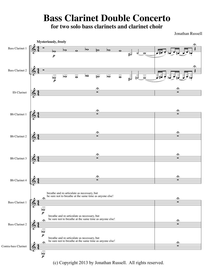## **Bass Clarinet Double Concerto**

**for two solo bass clarinets and clarinet choir**

Jonathan Russell



(c) Copyright 2013 by Jonathan Russell. All rights reserved.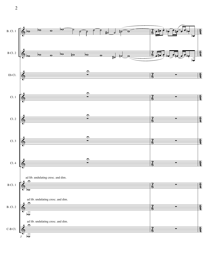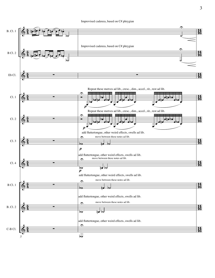Improvised cadenza, based on C# phrygian

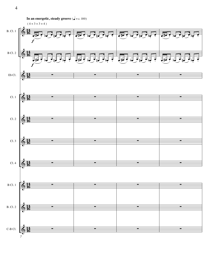**In an energetic, steady groove**  $\left(\right) = c$ . 100)

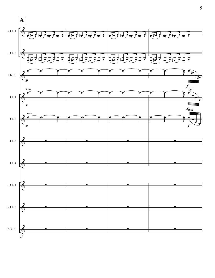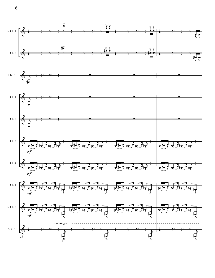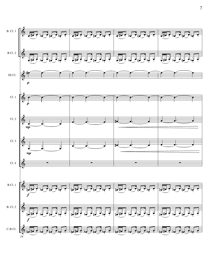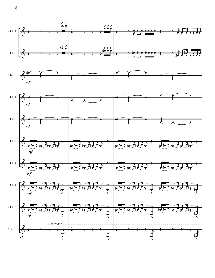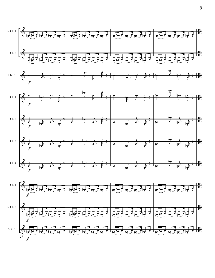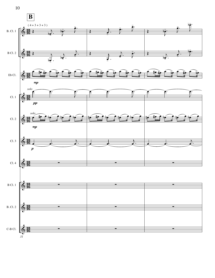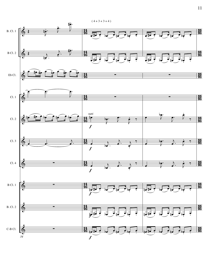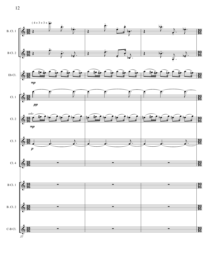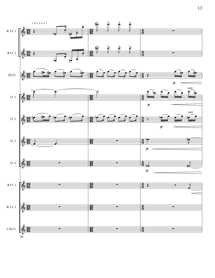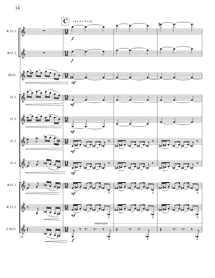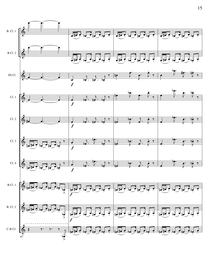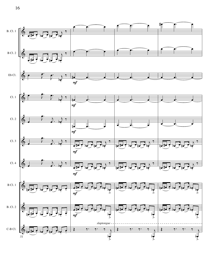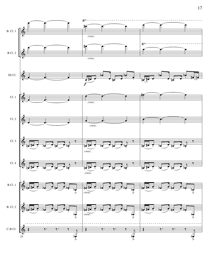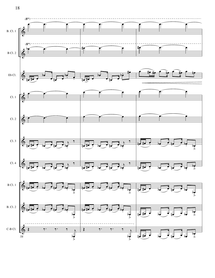

18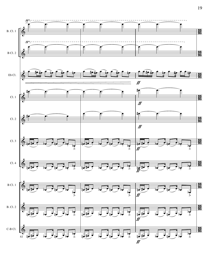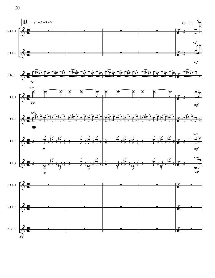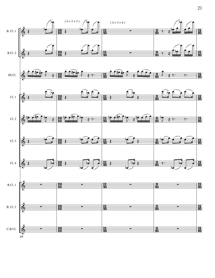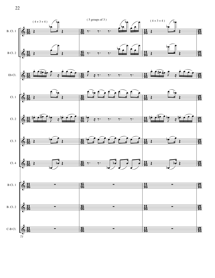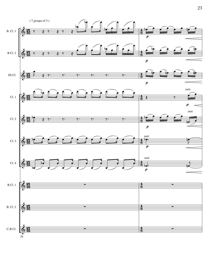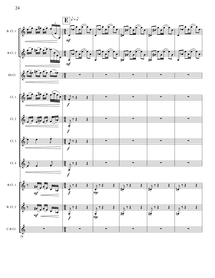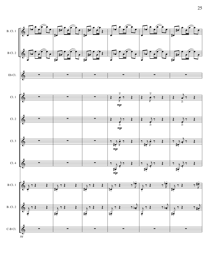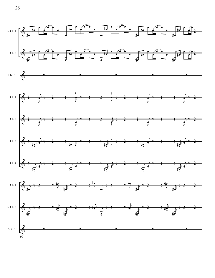

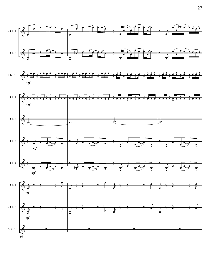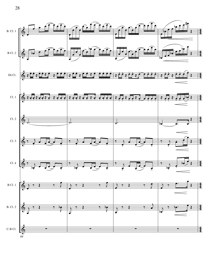

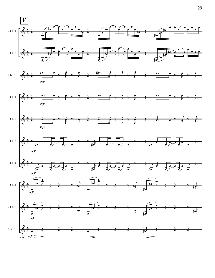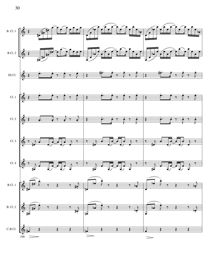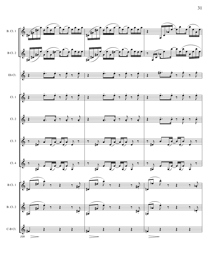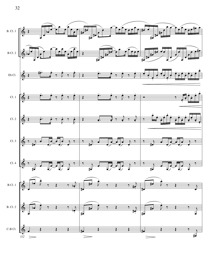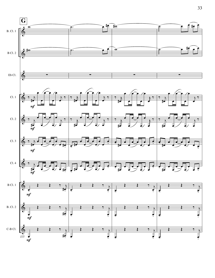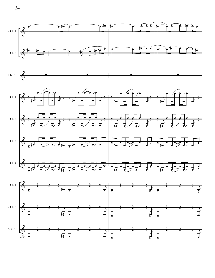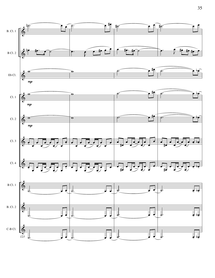![](_page_36_Figure_0.jpeg)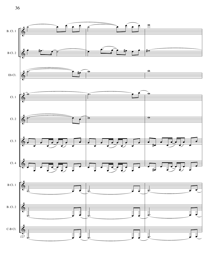![](_page_37_Figure_0.jpeg)

![](_page_37_Figure_1.jpeg)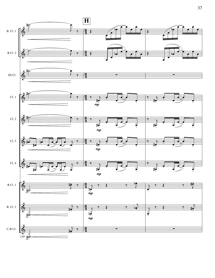![](_page_38_Figure_0.jpeg)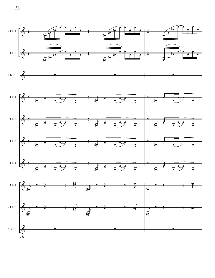![](_page_39_Figure_0.jpeg)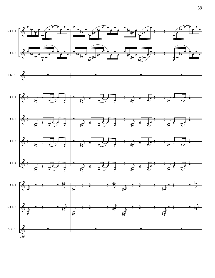![](_page_40_Figure_0.jpeg)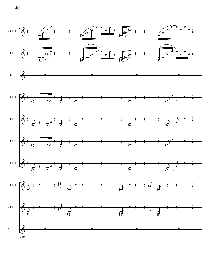![](_page_41_Figure_0.jpeg)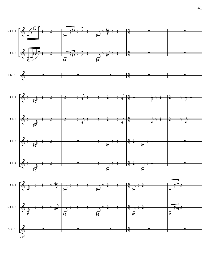![](_page_42_Figure_0.jpeg)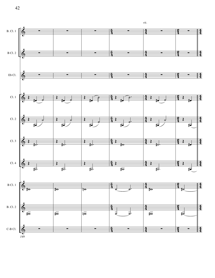![](_page_43_Figure_0.jpeg)

![](_page_43_Figure_1.jpeg)

*rit.*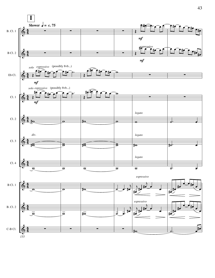![](_page_44_Figure_0.jpeg)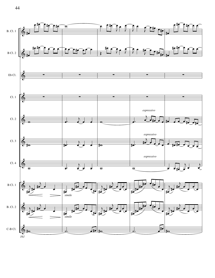![](_page_45_Figure_0.jpeg)

![](_page_45_Figure_1.jpeg)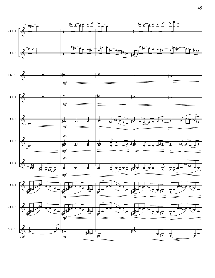![](_page_46_Figure_0.jpeg)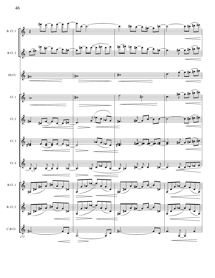![](_page_47_Figure_0.jpeg)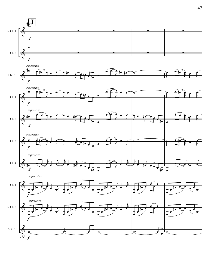![](_page_48_Figure_0.jpeg)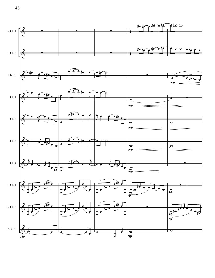![](_page_49_Figure_0.jpeg)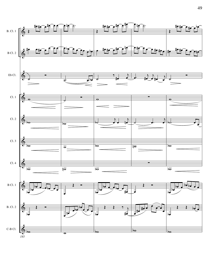![](_page_50_Figure_0.jpeg)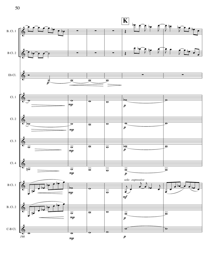![](_page_51_Figure_0.jpeg)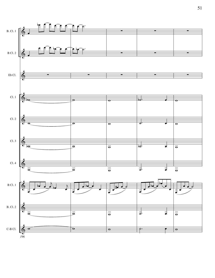![](_page_52_Figure_0.jpeg)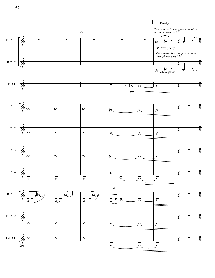![](_page_53_Figure_0.jpeg)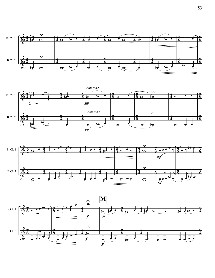![](_page_54_Figure_0.jpeg)

![](_page_54_Figure_1.jpeg)

![](_page_54_Figure_2.jpeg)

![](_page_54_Figure_3.jpeg)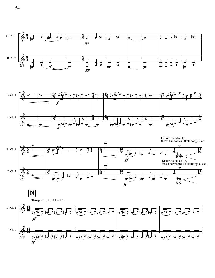![](_page_55_Figure_0.jpeg)

![](_page_55_Figure_1.jpeg)

![](_page_55_Figure_2.jpeg)

![](_page_55_Figure_3.jpeg)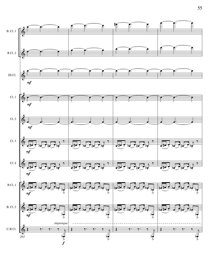![](_page_56_Figure_0.jpeg)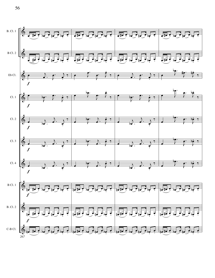![](_page_57_Figure_0.jpeg)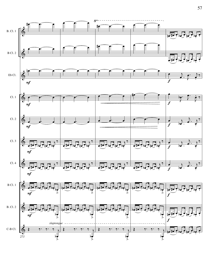![](_page_58_Figure_0.jpeg)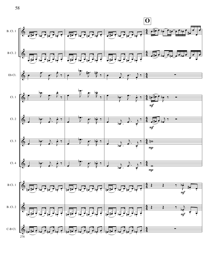![](_page_59_Figure_0.jpeg)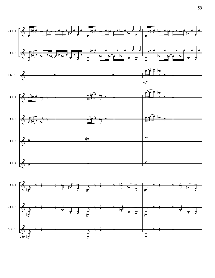![](_page_60_Figure_0.jpeg)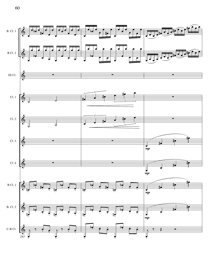![](_page_61_Figure_0.jpeg)

![](_page_61_Figure_1.jpeg)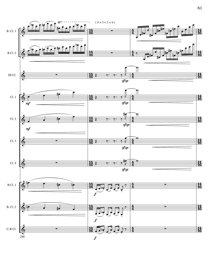![](_page_62_Figure_0.jpeg)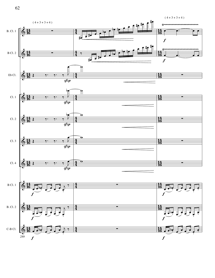![](_page_63_Figure_0.jpeg)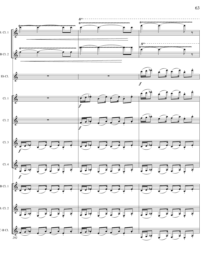![](_page_64_Figure_0.jpeg)